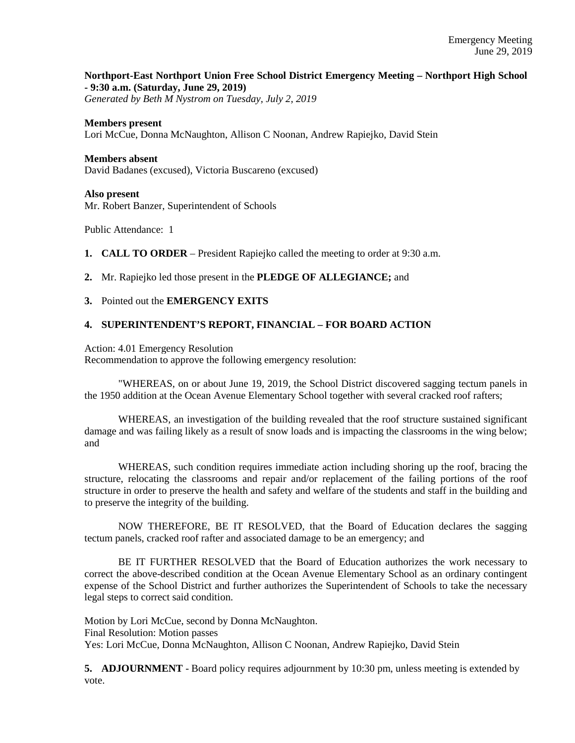# **Northport-East Northport Union Free School District Emergency Meeting – Northport High School - 9:30 a.m. (Saturday, June 29, 2019)**

*Generated by Beth M Nystrom on Tuesday, July 2, 2019*

#### **Members present**

Lori McCue, Donna McNaughton, Allison C Noonan, Andrew Rapiejko, David Stein

#### **Members absent**

David Badanes (excused), Victoria Buscareno (excused)

#### **Also present**

Mr. Robert Banzer, Superintendent of Schools

Public Attendance: 1

- **1. CALL TO ORDER** President Rapiejko called the meeting to order at 9:30 a.m.
- **2.** Mr. Rapiejko led those present in the **PLEDGE OF ALLEGIANCE;** and

### **3.** Pointed out the **EMERGENCY EXITS**

## **4. SUPERINTENDENT'S REPORT, FINANCIAL – FOR BOARD ACTION**

Action: 4.01 Emergency Resolution

Recommendation to approve the following emergency resolution:

"WHEREAS, on or about June 19, 2019, the School District discovered sagging tectum panels in the 1950 addition at the Ocean Avenue Elementary School together with several cracked roof rafters;

WHEREAS, an investigation of the building revealed that the roof structure sustained significant damage and was failing likely as a result of snow loads and is impacting the classrooms in the wing below; and

WHEREAS, such condition requires immediate action including shoring up the roof, bracing the structure, relocating the classrooms and repair and/or replacement of the failing portions of the roof structure in order to preserve the health and safety and welfare of the students and staff in the building and to preserve the integrity of the building.

NOW THEREFORE, BE IT RESOLVED, that the Board of Education declares the sagging tectum panels, cracked roof rafter and associated damage to be an emergency; and

BE IT FURTHER RESOLVED that the Board of Education authorizes the work necessary to correct the above-described condition at the Ocean Avenue Elementary School as an ordinary contingent expense of the School District and further authorizes the Superintendent of Schools to take the necessary legal steps to correct said condition.

Motion by Lori McCue, second by Donna McNaughton. Final Resolution: Motion passes Yes: Lori McCue, Donna McNaughton, Allison C Noonan, Andrew Rapiejko, David Stein

**5. ADJOURNMENT** - Board policy requires adjournment by 10:30 pm, unless meeting is extended by vote.